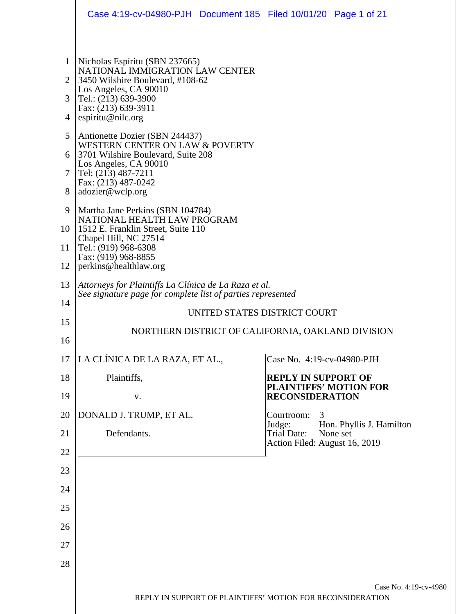|                                         | Case 4:19-cv-04980-PJH Document 185 Filed 10/01/20 Page 1 of 21                                                                                                                                                                                                                                                                                                                                 |  |                                                             |                                      |  |  |
|-----------------------------------------|-------------------------------------------------------------------------------------------------------------------------------------------------------------------------------------------------------------------------------------------------------------------------------------------------------------------------------------------------------------------------------------------------|--|-------------------------------------------------------------|--------------------------------------|--|--|
| $\overline{2}$<br>3<br>4<br>5<br>6<br>7 | Nicholas Espíritu (SBN 237665)<br>NATIONAL IMMIGRATION LAW CENTER<br>3450 Wilshire Boulevard, #108-62<br>Los Angeles, CA 90010<br>Tel.: (213) 639-3900<br>Fax: (213) 639-3911<br>espiritu@nilc.org<br>Antionette Dozier (SBN 244437)<br><b>WESTERN CENTER ON LAW &amp; POVERTY</b><br>3701 Wilshire Boulevard, Suite 208<br>Los Angeles, CA 90010<br>Tel: (213) 487-7211<br>Fax: (213) 487-0242 |  |                                                             |                                      |  |  |
| 8<br>9<br>10 <sup>1</sup><br>11<br>12   | adozier@wclp.org<br>Martha Jane Perkins (SBN 104784)<br>NATIONAL HEALTH LAW PROGRAM<br>1512 E. Franklin Street, Suite 110<br>Chapel Hill, NC 27514<br>Tel.: (919) 968-6308<br>Fax: (919) 968-8855<br>perkins@healthlaw.org                                                                                                                                                                      |  |                                                             |                                      |  |  |
| 13<br>14<br>15                          | Attorneys for Plaintiffs La Clínica de La Raza et al.<br>See signature page for complete list of parties represented<br>UNITED STATES DISTRICT COURT                                                                                                                                                                                                                                            |  |                                                             |                                      |  |  |
| 16                                      | NORTHERN DISTRICT OF CALIFORNIA, OAKLAND DIVISION                                                                                                                                                                                                                                                                                                                                               |  |                                                             |                                      |  |  |
| 17                                      | LA CLÍNICA DE LA RAZA, ET AL.,                                                                                                                                                                                                                                                                                                                                                                  |  | Case No. 4:19-cv-04980-PJH                                  |                                      |  |  |
| 18                                      | Plaintiffs,                                                                                                                                                                                                                                                                                                                                                                                     |  | <b>REPLY IN SUPPORT OF</b><br><b>PLAINTIFFS' MOTION FOR</b> |                                      |  |  |
| 19<br>20                                | V.<br>DONALD J. TRUMP, ET AL.                                                                                                                                                                                                                                                                                                                                                                   |  | <b>RECONSIDERATION</b><br>Courtroom:<br>3                   |                                      |  |  |
| 21                                      | Defendants.                                                                                                                                                                                                                                                                                                                                                                                     |  | Judge:<br>Trial Date:                                       | Hon. Phyllis J. Hamilton<br>None set |  |  |
| 22                                      |                                                                                                                                                                                                                                                                                                                                                                                                 |  | Action Filed: August 16, 2019                               |                                      |  |  |
| 23                                      |                                                                                                                                                                                                                                                                                                                                                                                                 |  |                                                             |                                      |  |  |
| 24                                      |                                                                                                                                                                                                                                                                                                                                                                                                 |  |                                                             |                                      |  |  |
| 25                                      |                                                                                                                                                                                                                                                                                                                                                                                                 |  |                                                             |                                      |  |  |
| 26                                      |                                                                                                                                                                                                                                                                                                                                                                                                 |  |                                                             |                                      |  |  |
| 27                                      |                                                                                                                                                                                                                                                                                                                                                                                                 |  |                                                             |                                      |  |  |
| 28                                      |                                                                                                                                                                                                                                                                                                                                                                                                 |  |                                                             |                                      |  |  |
|                                         |                                                                                                                                                                                                                                                                                                                                                                                                 |  |                                                             | Case No. 4:19-cv-4980                |  |  |
|                                         | REPLY IN SUPPORT OF PLAINTIFFS' MOTION FOR RECONSIDERATION                                                                                                                                                                                                                                                                                                                                      |  |                                                             |                                      |  |  |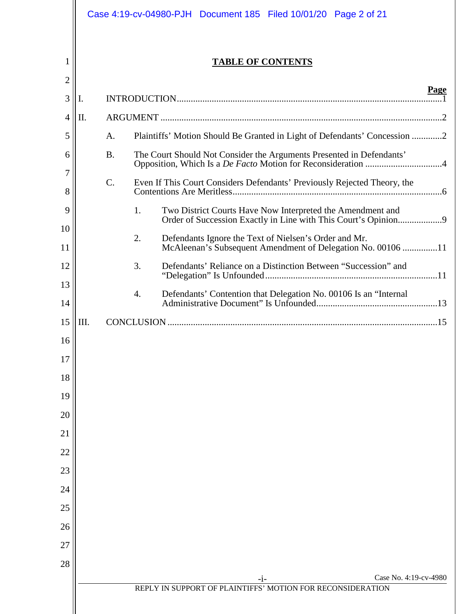|                     |     |                 |                  | Case 4:19-cv-04980-PJH Document 185 Filed 10/01/20 Page 2 of 21                                                              |      |
|---------------------|-----|-----------------|------------------|------------------------------------------------------------------------------------------------------------------------------|------|
| 1<br>$\overline{2}$ |     |                 |                  | <b>TABLE OF CONTENTS</b>                                                                                                     |      |
| 3                   | Ι.  |                 |                  |                                                                                                                              | Page |
| 4                   | II. |                 |                  |                                                                                                                              |      |
| 5                   |     | A.              |                  | Plaintiffs' Motion Should Be Granted in Light of Defendants' Concession 2                                                    |      |
| 6                   |     | <b>B.</b>       |                  | The Court Should Not Consider the Arguments Presented in Defendants'                                                         |      |
| 7<br>8              |     | $\mathcal{C}$ . |                  | Even If This Court Considers Defendants' Previously Rejected Theory, the                                                     |      |
| 9                   |     |                 | 1.               | Two District Courts Have Now Interpreted the Amendment and<br>Order of Succession Exactly in Line with This Court's Opinion9 |      |
| 10<br>11            |     |                 | 2.               | Defendants Ignore the Text of Nielsen's Order and Mr.<br>McAleenan's Subsequent Amendment of Delegation No. 00106 11         |      |
| 12                  |     |                 | 3.               | Defendants' Reliance on a Distinction Between "Succession" and                                                               |      |
| 13<br>14            |     |                 | $\overline{4}$ . | Defendants' Contention that Delegation No. 00106 Is an "Internal                                                             |      |
| 15                  | Ш.  |                 |                  |                                                                                                                              |      |
| 16                  |     |                 |                  |                                                                                                                              |      |
| 17                  |     |                 |                  |                                                                                                                              |      |
| 18                  |     |                 |                  |                                                                                                                              |      |
| 19                  |     |                 |                  |                                                                                                                              |      |
| 20                  |     |                 |                  |                                                                                                                              |      |
| 21                  |     |                 |                  |                                                                                                                              |      |
| 22                  |     |                 |                  |                                                                                                                              |      |
| 23                  |     |                 |                  |                                                                                                                              |      |
| 24<br>25            |     |                 |                  |                                                                                                                              |      |
| 26                  |     |                 |                  |                                                                                                                              |      |
| 27                  |     |                 |                  |                                                                                                                              |      |
| 28                  |     |                 |                  |                                                                                                                              |      |
|                     |     |                 |                  | Case No. 4:19-cv-4980<br>-1-                                                                                                 |      |
|                     |     |                 |                  | REPLY IN SUPPORT OF PLAINTIFFS' MOTION FOR RECONSIDERATION                                                                   |      |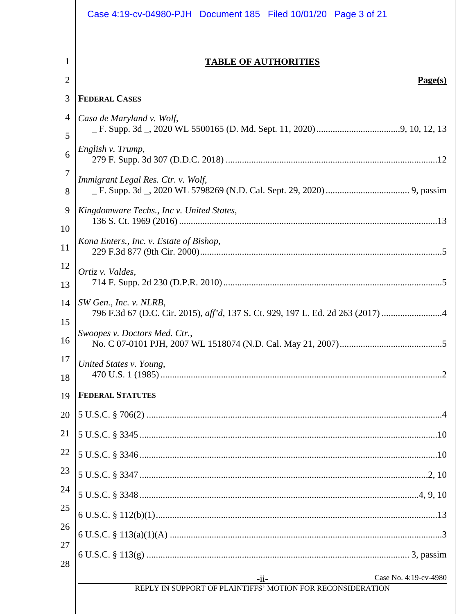|          | Case 4:19-cv-04980-PJH Document 185 Filed 10/01/20 Page 3 of 21                                |
|----------|------------------------------------------------------------------------------------------------|
| 1<br>2   | <b>TABLE OF AUTHORITIES</b><br>Page(s)                                                         |
| 3        | <b>FEDERAL CASES</b>                                                                           |
| 4<br>5   | Casa de Maryland v. Wolf,                                                                      |
| 6        | English v. Trump,                                                                              |
| 7<br>8   | Immigrant Legal Res. Ctr. v. Wolf,                                                             |
| 9<br>10  | Kingdomware Techs., Inc v. United States,                                                      |
| 11       | Kona Enters., Inc. v. Estate of Bishop,                                                        |
| 12<br>13 | Ortiz v. Valdes,                                                                               |
| 14<br>15 | SW Gen., Inc. v. NLRB,                                                                         |
| 16       | Swoopes v. Doctors Med. Ctr.,                                                                  |
| 17<br>18 | United States v. Young,                                                                        |
| 19       | <b>FEDERAL STATUTES</b>                                                                        |
| 20       |                                                                                                |
| 21       |                                                                                                |
| 22       |                                                                                                |
| 23       |                                                                                                |
| 24       |                                                                                                |
| 25       |                                                                                                |
| 26       |                                                                                                |
| 27<br>28 |                                                                                                |
|          | Case No. 4:19-cv-4980<br>$-i$ i-<br>REPLY IN SUPPORT OF PLAINTIFFS' MOTION FOR RECONSIDERATION |
|          |                                                                                                |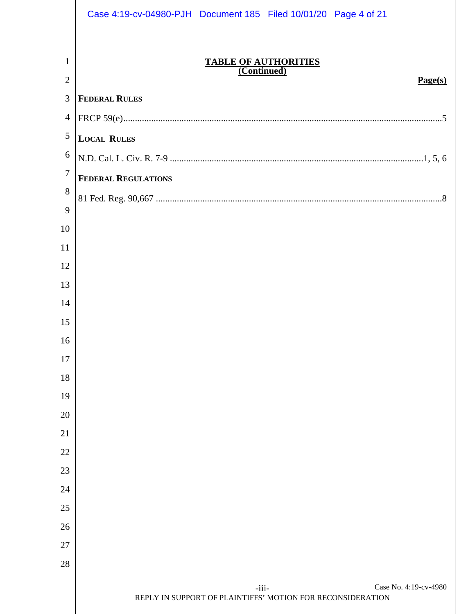|                     | Case 4:19-cv-04980-PJH Document 185 Filed 10/01/20 Page 4 of 21                                |
|---------------------|------------------------------------------------------------------------------------------------|
| 1<br>$\overline{2}$ | <b>TABLE OF AUTHORITIES</b><br>(Continued)<br>Page(s)                                          |
| 3                   | <b>FEDERAL RULES</b>                                                                           |
| $\overline{4}$      |                                                                                                |
| $\overline{5}$      | <b>LOCAL RULES</b>                                                                             |
| 6                   |                                                                                                |
| $\overline{7}$      | <b>FEDERAL REGULATIONS</b>                                                                     |
| 8                   |                                                                                                |
| 9                   |                                                                                                |
| 10                  |                                                                                                |
| 11                  |                                                                                                |
| 12                  |                                                                                                |
| 13                  |                                                                                                |
| 14<br>15            |                                                                                                |
| 16                  |                                                                                                |
| 17                  |                                                                                                |
| 18                  |                                                                                                |
| 19                  |                                                                                                |
| 20                  |                                                                                                |
| 21                  |                                                                                                |
| 22                  |                                                                                                |
| 23                  |                                                                                                |
| 24                  |                                                                                                |
| 25                  |                                                                                                |
| 26                  |                                                                                                |
| 27                  |                                                                                                |
| 28                  |                                                                                                |
|                     | Case No. 4:19-cv-4980<br>$-iii-$<br>REPLY IN SUPPORT OF PLAINTIFFS' MOTION FOR RECONSIDERATION |
|                     |                                                                                                |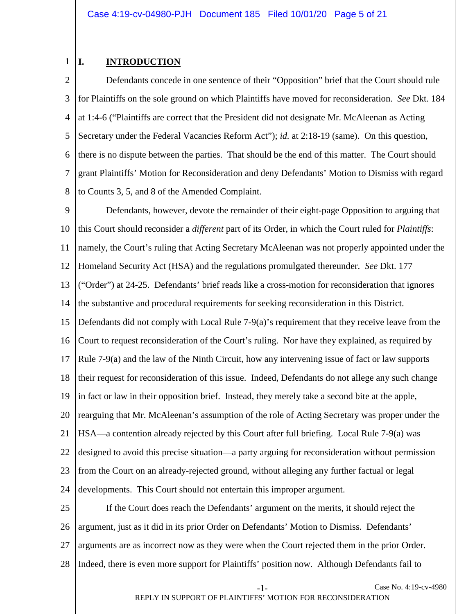# 1

## <span id="page-4-0"></span>**I. INTRODUCTION**

2 3 4 5 6 7 8 Defendants concede in one sentence of their "Opposition" brief that the Court should rule for Plaintiffs on the sole ground on which Plaintiffs have moved for reconsideration. *See* Dkt. 184 at 1:4-6 ("Plaintiffs are correct that the President did not designate Mr. McAleenan as Acting Secretary under the Federal Vacancies Reform Act"); *id.* at 2:18-19 (same). On this question, there is no dispute between the parties. That should be the end of this matter. The Court should grant Plaintiffs' Motion for Reconsideration and deny Defendants' Motion to Dismiss with regard to Counts 3, 5, and 8 of the Amended Complaint.

9 10 11 12 13 14 15 16 17 18 19 20 21 22 23 24 Defendants, however, devote the remainder of their eight-page Opposition to arguing that this Court should reconsider a *different* part of its Order, in which the Court ruled for *Plaintiffs*: namely, the Court's ruling that Acting Secretary McAleenan was not properly appointed under the Homeland Security Act (HSA) and the regulations promulgated thereunder. *See* Dkt. 177 ("Order") at 24-25. Defendants' brief reads like a cross-motion for reconsideration that ignores the substantive and procedural requirements for seeking reconsideration in this District. Defendants did not comply with Local Rule 7-9(a)'s requirement that they receive leave from the Court to request reconsideration of the Court's ruling. Nor have they explained, as required by Rule 7-9(a) and the law of the Ninth Circuit, how any intervening issue of fact or law supports their request for reconsideration of this issue. Indeed, Defendants do not allege any such change in fact or law in their opposition brief. Instead, they merely take a second bite at the apple, rearguing that Mr. McAleenan's assumption of the role of Acting Secretary was proper under the HSA—a contention already rejected by this Court after full briefing. Local Rule 7-9(a) was designed to avoid this precise situation—a party arguing for reconsideration without permission from the Court on an already-rejected ground, without alleging any further factual or legal developments. This Court should not entertain this improper argument.

25 26 27 28 If the Court does reach the Defendants' argument on the merits, it should reject the argument, just as it did in its prior Order on Defendants' Motion to Dismiss. Defendants' arguments are as incorrect now as they were when the Court rejected them in the prior Order. Indeed, there is even more support for Plaintiffs' position now. Although Defendants fail to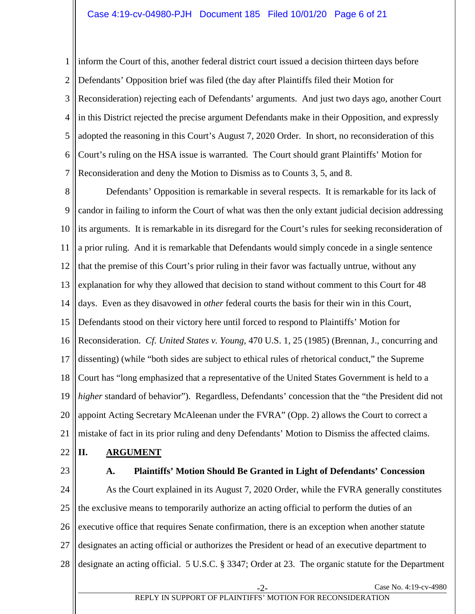1 2 3 4 5 6 7 inform the Court of this, another federal district court issued a decision thirteen days before Defendants' Opposition brief was filed (the day after Plaintiffs filed their Motion for Reconsideration) rejecting each of Defendants' arguments. And just two days ago, another Court in this District rejected the precise argument Defendants make in their Opposition, and expressly adopted the reasoning in this Court's August 7, 2020 Order. In short, no reconsideration of this Court's ruling on the HSA issue is warranted. The Court should grant Plaintiffs' Motion for Reconsideration and deny the Motion to Dismiss as to Counts 3, 5, and 8.

8 9 10 11 12 13 14 15 16 17 18 19 20 21 Defendants' Opposition is remarkable in several respects. It is remarkable for its lack of candor in failing to inform the Court of what was then the only extant judicial decision addressing its arguments. It is remarkable in its disregard for the Court's rules for seeking reconsideration of a prior ruling. And it is remarkable that Defendants would simply concede in a single sentence that the premise of this Court's prior ruling in their favor was factually untrue, without any explanation for why they allowed that decision to stand without comment to this Court for 48 days. Even as they disavowed in *other* federal courts the basis for their win in this Court, Defendants stood on their victory here until forced to respond to Plaintiffs' Motion for Reconsideration. *Cf. United States v. Young*, 470 U.S. 1, 25 (1985) (Brennan, J., concurring and dissenting) (while "both sides are subject to ethical rules of rhetorical conduct," the Supreme Court has "long emphasized that a representative of the United States Government is held to a *higher* standard of behavior"). Regardless, Defendants' concession that the "the President did not appoint Acting Secretary McAleenan under the FVRA" (Opp. 2) allows the Court to correct a mistake of fact in its prior ruling and deny Defendants' Motion to Dismiss the affected claims.

- <span id="page-5-0"></span>22 **II. ARGUMENT**
- <span id="page-5-1"></span>23

#### **A. Plaintiffs' Motion Should Be Granted in Light of Defendants' Concession**

24 25 26 27 28 As the Court explained in its August 7, 2020 Order, while the FVRA generally constitutes the exclusive means to temporarily authorize an acting official to perform the duties of an executive office that requires Senate confirmation, there is an exception when another statute designates an acting official or authorizes the President or head of an executive department to designate an acting official. 5 U.S.C. § 3347; Order at 23. The organic statute for the Department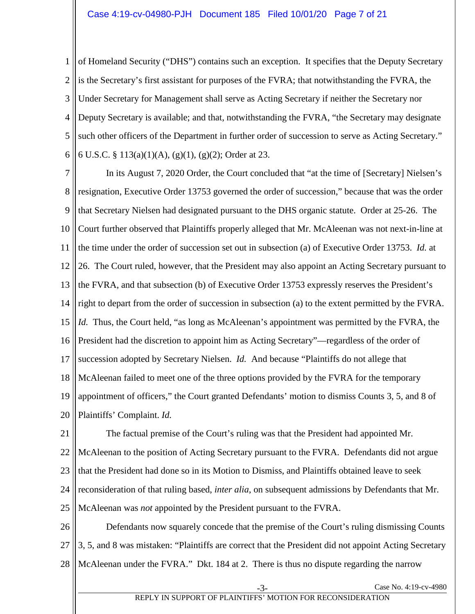1 2 3 4 5 6 of Homeland Security ("DHS") contains such an exception. It specifies that the Deputy Secretary is the Secretary's first assistant for purposes of the FVRA; that notwithstanding the FVRA, the Under Secretary for Management shall serve as Acting Secretary if neither the Secretary nor Deputy Secretary is available; and that, notwithstanding the FVRA, "the Secretary may designate such other officers of the Department in further order of succession to serve as Acting Secretary." 6 U.S.C. § 113(a)(1)(A), (g)(1), (g)(2); Order at 23.

7 8 9 10 11 12 13 14 15 16 17 18 19 20 In its August 7, 2020 Order, the Court concluded that "at the time of [Secretary] Nielsen's resignation, Executive Order 13753 governed the order of succession," because that was the order that Secretary Nielsen had designated pursuant to the DHS organic statute. Order at 25-26. The Court further observed that Plaintiffs properly alleged that Mr. McAleenan was not next-in-line at the time under the order of succession set out in subsection (a) of Executive Order 13753. *Id.* at 26. The Court ruled, however, that the President may also appoint an Acting Secretary pursuant to the FVRA, and that subsection (b) of Executive Order 13753 expressly reserves the President's right to depart from the order of succession in subsection (a) to the extent permitted by the FVRA. *Id.* Thus, the Court held, "as long as McAleenan's appointment was permitted by the FVRA, the President had the discretion to appoint him as Acting Secretary"—regardless of the order of succession adopted by Secretary Nielsen. *Id.* And because "Plaintiffs do not allege that McAleenan failed to meet one of the three options provided by the FVRA for the temporary appointment of officers," the Court granted Defendants' motion to dismiss Counts 3, 5, and 8 of Plaintiffs' Complaint. *Id.*

21 22 23 24 25 The factual premise of the Court's ruling was that the President had appointed Mr. McAleenan to the position of Acting Secretary pursuant to the FVRA. Defendants did not argue that the President had done so in its Motion to Dismiss, and Plaintiffs obtained leave to seek reconsideration of that ruling based, *inter alia*, on subsequent admissions by Defendants that Mr. McAleenan was *not* appointed by the President pursuant to the FVRA.

26 27 28 Defendants now squarely concede that the premise of the Court's ruling dismissing Counts 3, 5, and 8 was mistaken: "Plaintiffs are correct that the President did not appoint Acting Secretary McAleenan under the FVRA." Dkt. 184 at 2. There is thus no dispute regarding the narrow

Case No. 4:19-cv-4980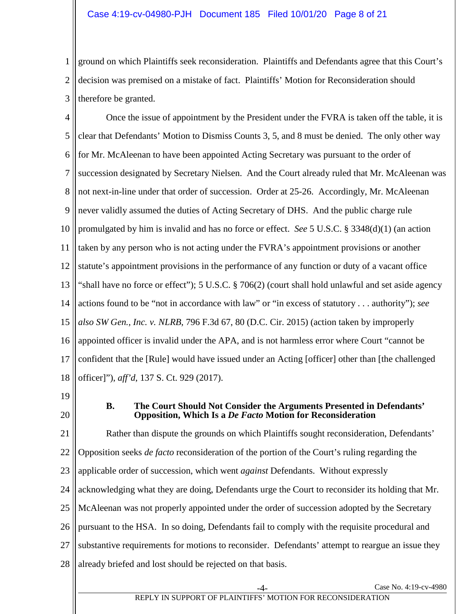1 2 3 ground on which Plaintiffs seek reconsideration. Plaintiffs and Defendants agree that this Court's decision was premised on a mistake of fact. Plaintiffs' Motion for Reconsideration should therefore be granted.

4 5 6 7 8 9 10 11 12 13 14 15 16 17 18 Once the issue of appointment by the President under the FVRA is taken off the table, it is clear that Defendants' Motion to Dismiss Counts 3, 5, and 8 must be denied. The only other way for Mr. McAleenan to have been appointed Acting Secretary was pursuant to the order of succession designated by Secretary Nielsen. And the Court already ruled that Mr. McAleenan was not next-in-line under that order of succession. Order at 25-26. Accordingly, Mr. McAleenan never validly assumed the duties of Acting Secretary of DHS. And the public charge rule promulgated by him is invalid and has no force or effect. *See* 5 U.S.C. § 3348(d)(1) (an action taken by any person who is not acting under the FVRA's appointment provisions or another statute's appointment provisions in the performance of any function or duty of a vacant office "shall have no force or effect"); 5 U.S.C. § 706(2) (court shall hold unlawful and set aside agency actions found to be "not in accordance with law" or "in excess of statutory . . . authority"); *see also SW Gen., Inc. v. NLRB*, 796 F.3d 67, 80 (D.C. Cir. 2015) (action taken by improperly appointed officer is invalid under the APA, and is not harmless error where Court "cannot be confident that the [Rule] would have issued under an Acting [officer] other than [the challenged officer]"), *aff'd*, 137 S. Ct. 929 (2017).

- <span id="page-7-0"></span>19
- 20

## **B. The Court Should Not Consider the Arguments Presented in Defendants' Opposition, Which Is a** *De Facto* **Motion for Reconsideration**

21 22 23 24 25 26 27 28 Rather than dispute the grounds on which Plaintiffs sought reconsideration, Defendants' Opposition seeks *de facto* reconsideration of the portion of the Court's ruling regarding the applicable order of succession, which went *against* Defendants. Without expressly acknowledging what they are doing, Defendants urge the Court to reconsider its holding that Mr. McAleenan was not properly appointed under the order of succession adopted by the Secretary pursuant to the HSA. In so doing, Defendants fail to comply with the requisite procedural and substantive requirements for motions to reconsider. Defendants' attempt to reargue an issue they already briefed and lost should be rejected on that basis.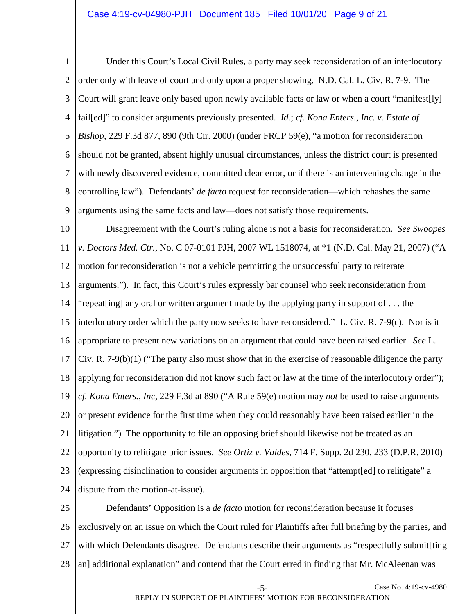1 2 3 4 5 6 7 8 9 Under this Court's Local Civil Rules, a party may seek reconsideration of an interlocutory order only with leave of court and only upon a proper showing. N.D. Cal. L. Civ. R. 7-9. The Court will grant leave only based upon newly available facts or law or when a court "manifest[ly] fail[ed]" to consider arguments previously presented. *Id*.; *cf. Kona Enters., Inc. v. Estate of Bishop*, 229 F.3d 877, 890 (9th Cir. 2000) (under FRCP 59(e), "a motion for reconsideration should not be granted, absent highly unusual circumstances, unless the district court is presented with newly discovered evidence, committed clear error, or if there is an intervening change in the controlling law"). Defendants' *de facto* request for reconsideration—which rehashes the same arguments using the same facts and law—does not satisfy those requirements.

10 11 12 13 14 15 16 17 18 19 20 21 22 23 24 Disagreement with the Court's ruling alone is not a basis for reconsideration. *See Swoopes v. Doctors Med. Ctr.*, No. C 07-0101 PJH, 2007 WL 1518074, at \*1 (N.D. Cal. May 21, 2007) ("A motion for reconsideration is not a vehicle permitting the unsuccessful party to reiterate arguments."). In fact, this Court's rules expressly bar counsel who seek reconsideration from "repeat[ing] any oral or written argument made by the applying party in support of . . . the interlocutory order which the party now seeks to have reconsidered." L. Civ. R. 7-9(c). Nor is it appropriate to present new variations on an argument that could have been raised earlier. *See* L. Civ. R.  $7-9(b)(1)$  ("The party also must show that in the exercise of reasonable diligence the party applying for reconsideration did not know such fact or law at the time of the interlocutory order"); *cf. Kona Enters., Inc*, 229 F.3d at 890 ("A Rule 59(e) motion may *not* be used to raise arguments or present evidence for the first time when they could reasonably have been raised earlier in the litigation.") The opportunity to file an opposing brief should likewise not be treated as an opportunity to relitigate prior issues. *See Ortiz v. Valdes,* 714 F. Supp. 2d 230, 233 (D.P.R. 2010) (expressing disinclination to consider arguments in opposition that "attempt[ed] to relitigate" a dispute from the motion-at-issue).

25 26 27 28 Defendants' Opposition is a *de facto* motion for reconsideration because it focuses exclusively on an issue on which the Court ruled for Plaintiffs after full briefing by the parties, and with which Defendants disagree. Defendants describe their arguments as "respectfully submit[ting an] additional explanation" and contend that the Court erred in finding that Mr. McAleenan was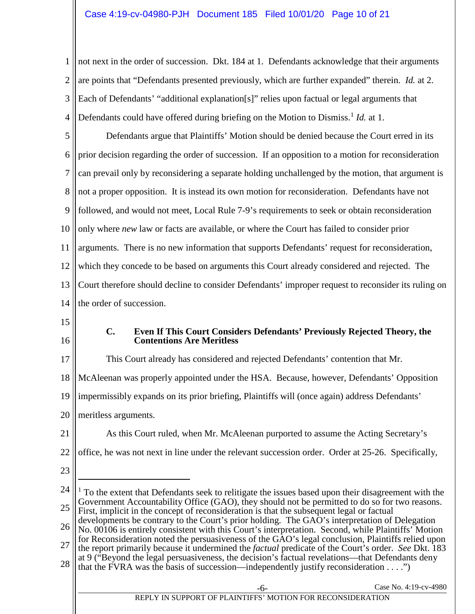1 2 3 4 not next in the order of succession. Dkt. 184 at 1. Defendants acknowledge that their arguments are points that "Defendants presented previously, which are further expanded" therein. *Id.* at 2. Each of Defendants' "additional explanation[s]" relies upon factual or legal arguments that Defendants could have offered during briefing on the Motion to Dismiss.<sup>[1](#page-9-1)</sup> *Id.* at 1.

5 6 7 8 9 10 11 12 13 14 Defendants argue that Plaintiffs' Motion should be denied because the Court erred in its prior decision regarding the order of succession. If an opposition to a motion for reconsideration can prevail only by reconsidering a separate holding unchallenged by the motion, that argument is not a proper opposition. It is instead its own motion for reconsideration. Defendants have not followed, and would not meet, Local Rule 7-9's requirements to seek or obtain reconsideration only where *new* law or facts are available, or where the Court has failed to consider prior arguments. There is no new information that supports Defendants' request for reconsideration, which they concede to be based on arguments this Court already considered and rejected. The Court therefore should decline to consider Defendants' improper request to reconsider its ruling on the order of succession.

- <span id="page-9-0"></span>15
- 16

## **C. Even If This Court Considers Defendants' Previously Rejected Theory, the Contentions Are Meritless**

17 18 19 20 This Court already has considered and rejected Defendants' contention that Mr. McAleenan was properly appointed under the HSA. Because, however, Defendants' Opposition impermissibly expands on its prior briefing, Plaintiffs will (once again) address Defendants' meritless arguments.

21

As this Court ruled, when Mr. McAleenan purported to assume the Acting Secretary's

22 office, he was not next in line under the relevant succession order. Order at 25-26. Specifically,

23

 $\overline{a}$ 

27 the report primarily because it undermined the *factual* predicate of the Court's order. *See* Dkt. 183 at 9 ("Beyond the legal persuasiveness, the decision's factual revelations—that Defendants deny

<span id="page-9-1"></span><sup>24</sup> 25  $<sup>1</sup>$  To the extent that Defendants seek to relitigate the issues based upon their disagreement with the</sup> Government Accountability Office (GAO), they should not be permitted to do so for two reasons. First, implicit in the concept of reconsideration is that the subsequent legal or factual developments be contrary to the Court's prior holding. The GAO's interpretation of Delegation

<sup>26</sup> No. 00106 is entirely consistent with this Court's interpretation. Second, while Plaintiffs' Motion for Reconsideration noted the persuasiveness of the GAO's legal conclusion, Plaintiffs relied upon

<sup>28</sup> that the FVRA was the basis of succession—independently justify reconsideration . . . .")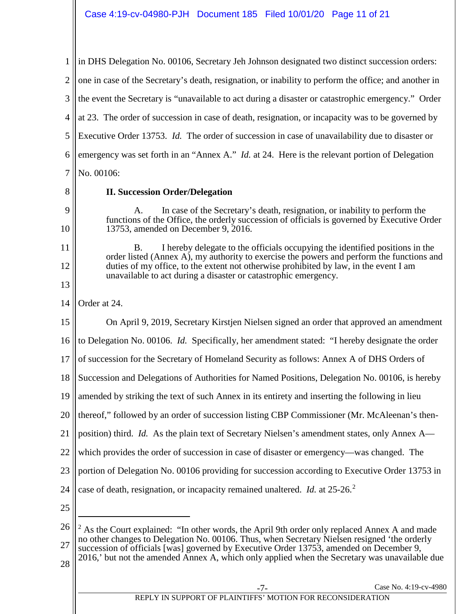1 2 3 4 5 6 7 8 9 10 11 12 13 14 15 16 17 18 19 20 21 22 23 24 25 26 27 28 in DHS Delegation No. 00106, Secretary Jeh Johnson designated two distinct succession orders: one in case of the Secretary's death, resignation, or inability to perform the office; and another in the event the Secretary is "unavailable to act during a disaster or catastrophic emergency." Order at 23. The order of succession in case of death, resignation, or incapacity was to be governed by Executive Order 13753. *Id.* The order of succession in case of unavailability due to disaster or emergency was set forth in an "Annex A." *Id.* at 24. Here is the relevant portion of Delegation No. 00106: **II. Succession Order/Delegation** In case of the Secretary's death, resignation, or inability to perform the functions of the Office, the orderly succession of officials is governed by Executive Order 13753, amended on December 9, 2016. B. I hereby delegate to the officials occupying the identified positions in the order listed (Annex A), my authority to exercise the powers and perform the functions and duties of my office, to the extent not otherwise prohibited by law, in the event I am unavailable to act during a disaster or catastrophic emergency. Order at 24. On April 9, 2019, Secretary Kirstjen Nielsen signed an order that approved an amendment to Delegation No. 00106. *Id.* Specifically, her amendment stated: "I hereby designate the order of succession for the Secretary of Homeland Security as follows: Annex A of DHS Orders of Succession and Delegations of Authorities for Named Positions, Delegation No. 00106, is hereby amended by striking the text of such Annex in its entirety and inserting the following in lieu thereof," followed by an order of succession listing CBP Commissioner (Mr. McAleenan's thenposition) third. *Id.* As the plain text of Secretary Nielsen's amendment states, only Annex A which provides the order of succession in case of disaster or emergency—was changed. The portion of Delegation No. 00106 providing for succession according to Executive Order 13753 in case of death, resignation, or incapacity remained unaltered. *Id.* at [2](#page-10-0)5-26.<sup>2</sup>  $\overline{a}$  $2$  As the Court explained: "In other words, the April 9th order only replaced Annex A and made no other changes to Delegation No. 00106. Thus, when Secretary Nielsen resigned 'the orderly succession of officials [was] governed by Executive Order 13753, amended on December 9, 2016,' but not the amended Annex A, which only applied when the Secretary was unavailable due

<span id="page-10-0"></span>REPLY IN SUPPORT OF PLAINTIFFS' MOTION FOR RECONSIDERATION

Case No. 4:19-cv-4980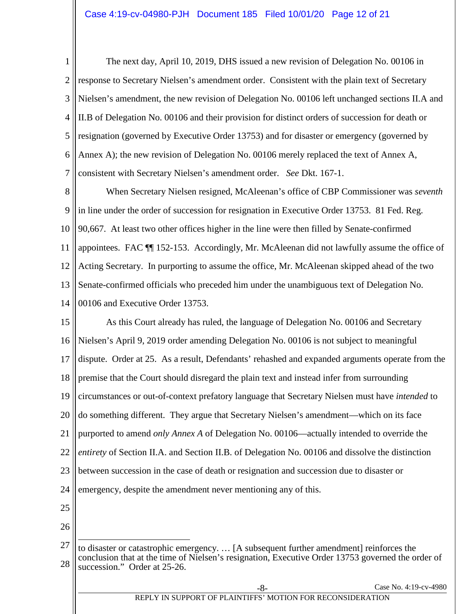1 2 3 4 5 6 7 The next day, April 10, 2019, DHS issued a new revision of Delegation No. 00106 in response to Secretary Nielsen's amendment order. Consistent with the plain text of Secretary Nielsen's amendment, the new revision of Delegation No. 00106 left unchanged sections II.A and II.B of Delegation No. 00106 and their provision for distinct orders of succession for death or resignation (governed by Executive Order 13753) and for disaster or emergency (governed by Annex A); the new revision of Delegation No. 00106 merely replaced the text of Annex A, consistent with Secretary Nielsen's amendment order. *See* Dkt. 167-1.

8 9 10 11 12 13 14 When Secretary Nielsen resigned, McAleenan's office of CBP Commissioner was *seventh*  in line under the order of succession for resignation in Executive Order 13753. 81 Fed. Reg. 90,667. At least two other offices higher in the line were then filled by Senate-confirmed appointees. FAC ¶¶ 152-153. Accordingly, Mr. McAleenan did not lawfully assume the office of Acting Secretary. In purporting to assume the office, Mr. McAleenan skipped ahead of the two Senate-confirmed officials who preceded him under the unambiguous text of Delegation No. 00106 and Executive Order 13753.

15 16 17 18 19 20 21 22 23 24 As this Court already has ruled, the language of Delegation No. 00106 and Secretary Nielsen's April 9, 2019 order amending Delegation No. 00106 is not subject to meaningful dispute. Order at 25. As a result, Defendants' rehashed and expanded arguments operate from the premise that the Court should disregard the plain text and instead infer from surrounding circumstances or out-of-context prefatory language that Secretary Nielsen must have *intended* to do something different. They argue that Secretary Nielsen's amendment—which on its face purported to amend *only Annex A* of Delegation No. 00106—actually intended to override the *entirety* of Section II.A. and Section II.B. of Delegation No. 00106 and dissolve the distinction between succession in the case of death or resignation and succession due to disaster or emergency, despite the amendment never mentioning any of this.

- 25
- 26

<sup>27</sup> 28 to disaster or catastrophic emergency. … [A subsequent further amendment] reinforces the conclusion that at the time of Nielsen's resignation, Executive Order 13753 governed the order of succession." Order at 25-26.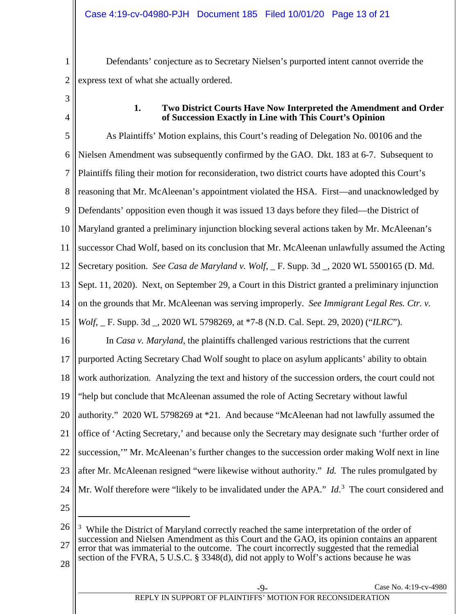1 2 Defendants' conjecture as to Secretary Nielsen's purported intent cannot override the express text of what she actually ordered.

<span id="page-12-0"></span>3 4

#### **1. Two District Courts Have Now Interpreted the Amendment and Order of Succession Exactly in Line with This Court's Opinion**

5 6 7 8 9 10 11 12 13 14 15 16 17 18 19 20 21 22 23 24 25 26 As Plaintiffs' Motion explains, this Court's reading of Delegation No. 00106 and the Nielsen Amendment was subsequently confirmed by the GAO. Dkt. 183 at 6-7. Subsequent to Plaintiffs filing their motion for reconsideration, two district courts have adopted this Court's reasoning that Mr. McAleenan's appointment violated the HSA. First—and unacknowledged by Defendants' opposition even though it was issued 13 days before they filed—the District of Maryland granted a preliminary injunction blocking several actions taken by Mr. McAleenan's successor Chad Wolf, based on its conclusion that Mr. McAleenan unlawfully assumed the Acting Secretary position. *See Casa de Maryland v. Wolf*, <sub>\_</sub> F. Supp. 3d \_, 2020 WL 5500165 (D. Md.) Sept. 11, 2020). Next, on September 29, a Court in this District granted a preliminary injunction on the grounds that Mr. McAleenan was serving improperly. *See Immigrant Legal Res. Ctr. v. Wolf*, \_ F. Supp. 3d \_, 2020 WL 5798269, at \*7-8 (N.D. Cal. Sept. 29, 2020) ("*ILRC*"). In *Casa v. Maryland*, the plaintiffs challenged various restrictions that the current purported Acting Secretary Chad Wolf sought to place on asylum applicants' ability to obtain work authorization. Analyzing the text and history of the succession orders, the court could not "help but conclude that McAleenan assumed the role of Acting Secretary without lawful authority." 2020 WL 5798269 at \*21*.* And because "McAleenan had not lawfully assumed the office of 'Acting Secretary,' and because only the Secretary may designate such 'further order of succession,'" Mr. McAleenan's further changes to the succession order making Wolf next in line after Mr. McAleenan resigned "were likewise without authority." *Id.* The rules promulgated by Mr. Wolf therefore were "likely to be invalidated under the APA." *Id*.<sup>[3](#page-12-1)</sup> The court considered and  $\overline{a}$ <sup>3</sup> While the District of Maryland correctly reached the same interpretation of the order of

<span id="page-12-1"></span>27 succession and Nielsen Amendment as this Court and the GAO, its opinion contains an apparent error that was immaterial to the outcome. The court incorrectly suggested that the remedial section of the FVRA, 5 U.S.C. § 3348(d), did not apply to Wolf's actions because he was

28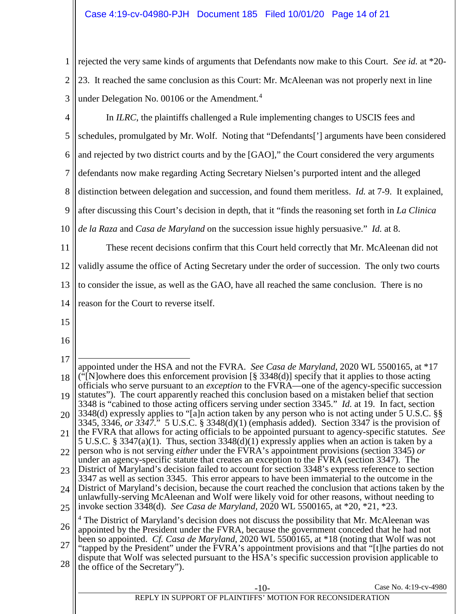1 2 3 rejected the very same kinds of arguments that Defendants now make to this Court. *See id.* at \*20- 23. It reached the same conclusion as this Court: Mr. McAleenan was not properly next in line under Delegation No. 00106 or the Amendment.<sup>[4](#page-13-0)</sup>

<span id="page-13-0"></span>4 5 6 7 8 9 10 11 12 13 14 15 16 17 18 19 20 21 22 23 24 25 26 27 28 Case No. 4:19-cv-4980 REPLY IN SUPPORT OF PLAINTIFFS' MOTION FOR RECONSIDERATION In *ILRC*, the plaintiffs challenged a Rule implementing changes to USCIS fees and schedules, promulgated by Mr. Wolf. Noting that "Defendants['] arguments have been considered and rejected by two district courts and by the [GAO]," the Court considered the very arguments defendants now make regarding Acting Secretary Nielsen's purported intent and the alleged distinction between delegation and succession, and found them meritless. *Id.* at 7-9. It explained, after discussing this Court's decision in depth, that it "finds the reasoning set forth in *La Clinica de la Raza* and *Casa de Maryland* on the succession issue highly persuasive." *Id.* at 8. These recent decisions confirm that this Court held correctly that Mr. McAleenan did not validly assume the office of Acting Secretary under the order of succession. The only two courts to consider the issue, as well as the GAO, have all reached the same conclusion. There is no reason for the Court to reverse itself.  $\overline{a}$ appointed under the HSA and not the FVRA. *See Casa de Maryland*, 2020 WL 5500165, at \*17  $(\tilde{\mathbf{F}}[N]$ owhere does this enforcement provision  $[\S 3348(d)]$  specify that it applies to those acting officials who serve pursuant to an *exception* to the FVRA—one of the agency-specific succession statutes"). The court apparently reached this conclusion based on a mistaken belief that section 3348 is "cabined to those acting officers serving under section 3345." *Id.* at 19. In fact, section 3348(d) expressly applies to "[a]n action taken by any person who is not acting under 5 U.S.C. §§ 3345, 3346, *or 3347*." 5 U.S.C. § 3348(d)(1) (emphasis added). Section 3347 is the provision of the FVRA that allows for acting officials to be appointed pursuant to agency-specific statutes. *See*  5 U.S.C. § 3347(a)(1). Thus, section 3348(d)(1) expressly applies when an action is taken by a person who is not serving *either* under the FVRA's appointment provisions (section 3345) *or* under an agency-specific statute that creates an exception to the FVRA (section 3347). The District of Maryland's decision failed to account for section 3348's express reference to section 3347 as well as section 3345. This error appears to have been immaterial to the outcome in the District of Maryland's decision, because the court reached the conclusion that actions taken by the unlawfully-serving McAleenan and Wolf were likely void for other reasons, without needing to invoke section 3348(d). *See Casa de Maryland,* 2020 WL 5500165, at \*20, \*21, \*23. <sup>4</sup> The District of Maryland's decision does not discuss the possibility that Mr. McAleenan was appointed by the President under the FVRA, because the government conceded that he had not been so appointed. *Cf. Casa de Maryland,* 2020 WL 5500165, at \*18 (noting that Wolf was not "tapped by the President" under the FVRA's appointment provisions and that "[t]he parties do not dispute that Wolf was selected pursuant to the HSA's specific succession provision applicable to the office of the Secretary").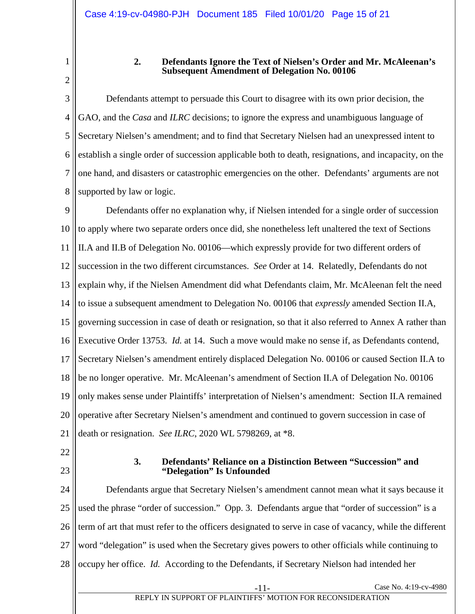## **2. Defendants Ignore the Text of Nielsen's Order and Mr. McAleenan's Subsequent Amendment of Delegation No. 00106**

3 4 5 6 7 8 Defendants attempt to persuade this Court to disagree with its own prior decision, the GAO, and the *Casa* and *ILRC* decisions; to ignore the express and unambiguous language of Secretary Nielsen's amendment; and to find that Secretary Nielsen had an unexpressed intent to establish a single order of succession applicable both to death, resignations, and incapacity, on the one hand, and disasters or catastrophic emergencies on the other. Defendants' arguments are not supported by law or logic.

9 10 11 12 13 14 15 16 17 18 19 20 21 Defendants offer no explanation why, if Nielsen intended for a single order of succession to apply where two separate orders once did, she nonetheless left unaltered the text of Sections II.A and II.B of Delegation No. 00106—which expressly provide for two different orders of succession in the two different circumstances. *See* Order at 14. Relatedly, Defendants do not explain why, if the Nielsen Amendment did what Defendants claim, Mr. McAleenan felt the need to issue a subsequent amendment to Delegation No. 00106 that *expressly* amended Section II.A, governing succession in case of death or resignation, so that it also referred to Annex A rather than Executive Order 13753. *Id.* at 14. Such a move would make no sense if, as Defendants contend, Secretary Nielsen's amendment entirely displaced Delegation No. 00106 or caused Section II.A to be no longer operative. Mr. McAleenan's amendment of Section II.A of Delegation No. 00106 only makes sense under Plaintiffs' interpretation of Nielsen's amendment: Section II.A remained operative after Secretary Nielsen's amendment and continued to govern succession in case of death or resignation. *See ILRC*, 2020 WL 5798269, at \*8.

- <span id="page-14-1"></span>22
- 23

#### **3. Defendants' Reliance on a Distinction Between "Succession" and "Delegation" Is Unfounded**

24 25 26 27 28 Defendants argue that Secretary Nielsen's amendment cannot mean what it says because it used the phrase "order of succession." Opp. 3. Defendants argue that "order of succession" is a term of art that must refer to the officers designated to serve in case of vacancy, while the different word "delegation" is used when the Secretary gives powers to other officials while continuing to occupy her office. *Id.* According to the Defendants, if Secretary Nielson had intended her

<span id="page-14-0"></span><sup>1</sup> 2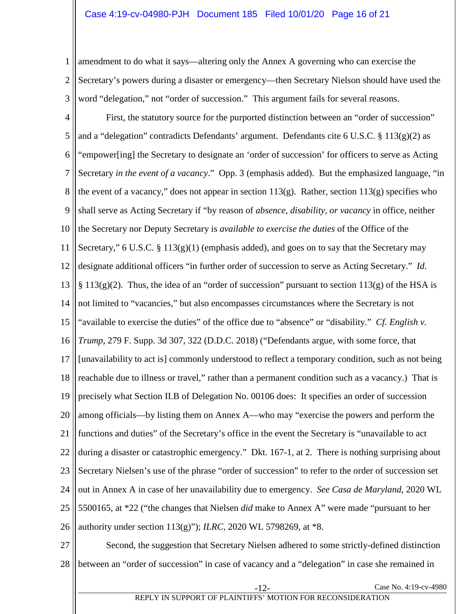1 2 3 amendment to do what it says—altering only the Annex A governing who can exercise the Secretary's powers during a disaster or emergency—then Secretary Nielson should have used the word "delegation," not "order of succession." This argument fails for several reasons.

4 5 6 7 8 9 10 11 12 13 14 15 16 17 18 19 20 21 22 23 24 25 26 First, the statutory source for the purported distinction between an "order of succession" and a "delegation" contradicts Defendants' argument. Defendants cite 6 U.S.C. § 113(g)(2) as "empower[ing] the Secretary to designate an 'order of succession' for officers to serve as Acting Secretary *in the event of a vacancy*." Opp. 3 (emphasis added). But the emphasized language, "in the event of a vacancy," does not appear in section 113(g). Rather, section 113(g) specifies who shall serve as Acting Secretary if "by reason of *absence, disability, or vacancy* in office, neither the Secretary nor Deputy Secretary is *available to exercise the duties* of the Office of the Secretary," 6 U.S.C. § 113(g)(1) (emphasis added), and goes on to say that the Secretary may designate additional officers "in further order of succession to serve as Acting Secretary." *Id.*   $§ 113(g)(2)$ . Thus, the idea of an "order of succession" pursuant to section 113(g) of the HSA is not limited to "vacancies," but also encompasses circumstances where the Secretary is not "available to exercise the duties" of the office due to "absence" or "disability." *Cf. English v. Trump*, 279 F. Supp. 3d 307, 322 (D.D.C. 2018) ("Defendants argue, with some force, that [unavailability to act is] commonly understood to reflect a temporary condition, such as not being reachable due to illness or travel," rather than a permanent condition such as a vacancy.) That is precisely what Section II.B of Delegation No. 00106 does: It specifies an order of succession among officials—by listing them on Annex A—who may "exercise the powers and perform the functions and duties" of the Secretary's office in the event the Secretary is "unavailable to act during a disaster or catastrophic emergency." Dkt. 167-1, at 2. There is nothing surprising about Secretary Nielsen's use of the phrase "order of succession" to refer to the order of succession set out in Annex A in case of her unavailability due to emergency. *See Casa de Maryland,* 2020 WL 5500165, at \*22 ("the changes that Nielsen *did* make to Annex A" were made "pursuant to her authority under section 113(g)"); *ILRC*, 2020 WL 5798269, at \*8.

27 28 Second, the suggestion that Secretary Nielsen adhered to some strictly-defined distinction between an "order of succession" in case of vacancy and a "delegation" in case she remained in

REPLY IN SUPPORT OF PLAINTIFFS' MOTION FOR RECONSIDERATION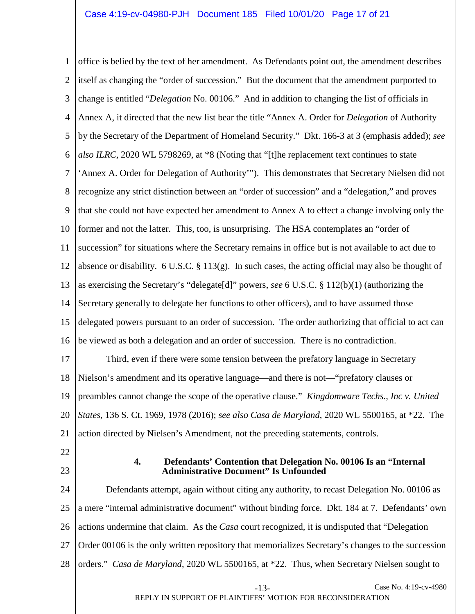1 2 3 4 5 6 7 8 9 10 11 12 13 14 15 16 17 18 19 office is belied by the text of her amendment. As Defendants point out, the amendment describes itself as changing the "order of succession." But the document that the amendment purported to change is entitled "*Delegation* No. 00106." And in addition to changing the list of officials in Annex A, it directed that the new list bear the title "Annex A. Order for *Delegation* of Authority by the Secretary of the Department of Homeland Security." Dkt. 166-3 at 3 (emphasis added); *see also ILRC*, 2020 WL 5798269, at \*8 (Noting that "[t]he replacement text continues to state 'Annex A. Order for Delegation of Authority'"). This demonstrates that Secretary Nielsen did not recognize any strict distinction between an "order of succession" and a "delegation," and proves that she could not have expected her amendment to Annex A to effect a change involving only the former and not the latter. This, too, is unsurprising. The HSA contemplates an "order of succession" for situations where the Secretary remains in office but is not available to act due to absence or disability. 6 U.S.C. § 113(g). In such cases, the acting official may also be thought of as exercising the Secretary's "delegate[d]" powers, *see* 6 U.S.C. § 112(b)(1) (authorizing the Secretary generally to delegate her functions to other officers), and to have assumed those delegated powers pursuant to an order of succession. The order authorizing that official to act can be viewed as both a delegation and an order of succession. There is no contradiction. Third, even if there were some tension between the prefatory language in Secretary Nielson's amendment and its operative language—and there is not—"prefatory clauses or preambles cannot change the scope of the operative clause." *Kingdomware Techs., Inc v. United* 

20 21 *States*, 136 S. Ct. 1969, 1978 (2016); *see also Casa de Maryland*, 2020 WL 5500165, at \*22. The action directed by Nielsen's Amendment, not the preceding statements, controls.

- 22
- 23

#### <span id="page-16-0"></span>**4. Defendants' Contention that Delegation No. 00106 Is an "Internal Administrative Document" Is Unfounded**

24 25 26 27 28 Case No. 4:19-cv-4980 Defendants attempt, again without citing any authority, to recast Delegation No. 00106 as a mere "internal administrative document" without binding force. Dkt. 184 at 7. Defendants' own actions undermine that claim. As the *Casa* court recognized, it is undisputed that "Delegation Order 00106 is the only written repository that memorializes Secretary's changes to the succession orders." *Casa de Maryland*, 2020 WL 5500165, at \*22. Thus, when Secretary Nielsen sought to

# REPLY IN SUPPORT OF PLAINTIFFS' MOTION FOR RECONSIDERATION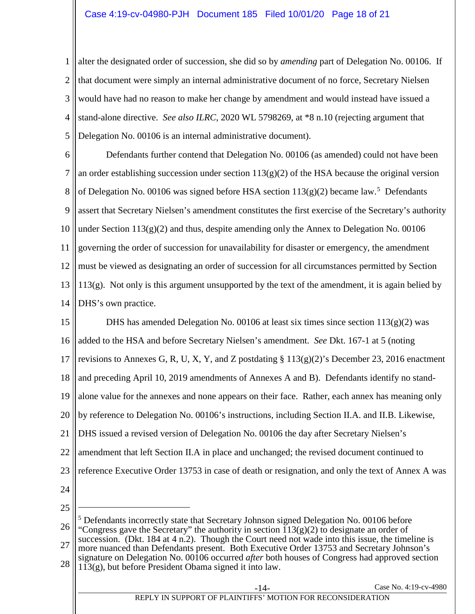1 2 3 4 5 alter the designated order of succession, she did so by *amending* part of Delegation No. 00106. If that document were simply an internal administrative document of no force, Secretary Nielsen would have had no reason to make her change by amendment and would instead have issued a stand-alone directive. *See also ILRC*, 2020 WL 5798269, at \*8 n.10 (rejecting argument that Delegation No. 00106 is an internal administrative document).

6 7 8 9 10 11 12 13 14 Defendants further contend that Delegation No. 00106 (as amended) could not have been an order establishing succession under section  $113(g)(2)$  of the HSA because the original version of Delegation No. 00106 was signed before HSA section  $113(g)(2)$  became law.<sup>[5](#page-17-0)</sup> Defendants assert that Secretary Nielsen's amendment constitutes the first exercise of the Secretary's authority under Section  $113(g)(2)$  and thus, despite amending only the Annex to Delegation No. 00106 governing the order of succession for unavailability for disaster or emergency, the amendment must be viewed as designating an order of succession for all circumstances permitted by Section 113(g). Not only is this argument unsupported by the text of the amendment, it is again belied by DHS's own practice.

15 16 17 18 19 20 21 22 23 24 DHS has amended Delegation No. 00106 at least six times since section  $113(g)(2)$  was added to the HSA and before Secretary Nielsen's amendment. *See* Dkt. 167-1 at 5 (noting revisions to Annexes G, R, U, X, Y, and Z postdating §  $113(g)(2)$ 's December 23, 2016 enactment and preceding April 10, 2019 amendments of Annexes A and B). Defendants identify no standalone value for the annexes and none appears on their face. Rather, each annex has meaning only by reference to Delegation No. 00106's instructions, including Section II.A. and II.B. Likewise, DHS issued a revised version of Delegation No. 00106 the day after Secretary Nielsen's amendment that left Section II.A in place and unchanged; the revised document continued to reference Executive Order 13753 in case of death or resignation, and only the text of Annex A was

25

 $\overline{a}$ 

<span id="page-17-0"></span>26 <sup>5</sup> Defendants incorrectly state that Secretary Johnson signed Delegation No. 00106 before "Congress gave the Secretary" the authority in section  $113(g)(2)$  to designate an order of succession. (Dkt. 184 at 4 n.2). Though the Court need not wade into this issue, the timeline is

- 27 28 more nuanced than Defendants present. Both Executive Order 13753 and Secretary Johnson's signature on Delegation No. 00106 occurred *after* both houses of Congress had approved section
	- 113(g), but before President Obama signed it into law.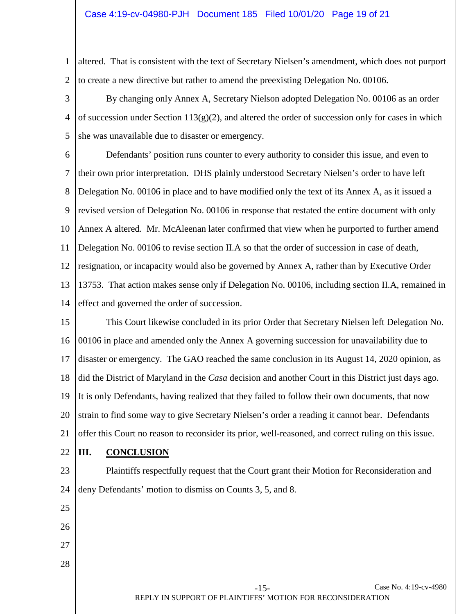1 2 altered. That is consistent with the text of Secretary Nielsen's amendment, which does not purport to create a new directive but rather to amend the preexisting Delegation No. 00106.

3 4 5 By changing only Annex A, Secretary Nielson adopted Delegation No. 00106 as an order of succession under Section  $113(g)(2)$ , and altered the order of succession only for cases in which she was unavailable due to disaster or emergency.

6 7 8 9 10 11 12 13 14 Defendants' position runs counter to every authority to consider this issue, and even to their own prior interpretation. DHS plainly understood Secretary Nielsen's order to have left Delegation No. 00106 in place and to have modified only the text of its Annex A, as it issued a revised version of Delegation No. 00106 in response that restated the entire document with only Annex A altered. Mr. McAleenan later confirmed that view when he purported to further amend Delegation No. 00106 to revise section II.A so that the order of succession in case of death, resignation, or incapacity would also be governed by Annex A, rather than by Executive Order 13753. That action makes sense only if Delegation No. 00106, including section II.A, remained in effect and governed the order of succession.

15 16 17 18 19 20 21 This Court likewise concluded in its prior Order that Secretary Nielsen left Delegation No. 00106 in place and amended only the Annex A governing succession for unavailability due to disaster or emergency. The GAO reached the same conclusion in its August 14, 2020 opinion, as did the District of Maryland in the *Casa* decision and another Court in this District just days ago. It is only Defendants, having realized that they failed to follow their own documents, that now strain to find some way to give Secretary Nielsen's order a reading it cannot bear. Defendants offer this Court no reason to reconsider its prior, well-reasoned, and correct ruling on this issue.

<span id="page-18-0"></span>22 **III. CONCLUSION**

23 24 Plaintiffs respectfully request that the Court grant their Motion for Reconsideration and deny Defendants' motion to dismiss on Counts 3, 5, and 8.

25 26 27 28 Case No. 4:19-cv-4980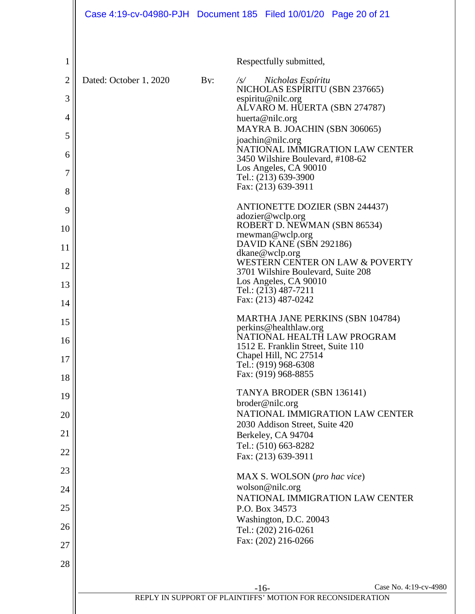|                | Case 4:19-cv-04980-PJH Document 185 Filed 10/01/20 Page 20 of 21 |     |            |                                                            |                                  |
|----------------|------------------------------------------------------------------|-----|------------|------------------------------------------------------------|----------------------------------|
| 1              |                                                                  |     |            | Respectfully submitted,                                    |                                  |
| $\overline{c}$ | Dated: October 1, 2020                                           | By: | $\sqrt{s}$ | Nicholas Espíritu                                          |                                  |
| 3              |                                                                  |     |            | NICHOLAS ESPÍRITU (SBN 237665)<br>espiritu@nilc.org        |                                  |
| 4              |                                                                  |     |            | ALVARO M. HUERTA (SBN 274787)                              |                                  |
|                |                                                                  |     |            | huerta@nilc.org<br>MAYRA B. JOACHIN (SBN 306065)           |                                  |
| 5              |                                                                  |     |            | joachin@nilc.org                                           | NATIONAL IMMIGRATION LAW CENTER  |
| 6              |                                                                  |     |            | 3450 Wilshire Boulevard, #108-62                           |                                  |
| 7              |                                                                  |     |            | Los Angeles, CA 90010<br>Tel.: (213) 639-3900              |                                  |
| 8              |                                                                  |     |            | Fax: (213) 639-3911                                        |                                  |
| 9              |                                                                  |     |            | <b>ANTIONETTE DOZIER (SBN 244437)</b>                      |                                  |
| 10             |                                                                  |     |            | adozier@wclp.org<br>ROBERT D. NEWMAN (SBN 86534)           |                                  |
|                |                                                                  |     |            | rnewman@wclp.org<br>DAVID KANE (SBN 292186)                |                                  |
| 11             |                                                                  |     |            | dkane@wclp.org                                             |                                  |
| 12             |                                                                  |     |            | 3701 Wilshire Boulevard, Suite 208                         | WESTERN CENTER ON LAW & POVERTY  |
| 13             |                                                                  |     |            | Los Angeles, CA 90010<br>Tel.: (213) 487-7211              |                                  |
| 14             |                                                                  |     |            | Fax: (213) 487-0242                                        |                                  |
| 15             |                                                                  |     |            |                                                            | MARTHA JANE PERKINS (SBN 104784) |
|                |                                                                  |     |            | perkins@healthlaw.org                                      | NATIONAL HEALTH LAW PROGRAM      |
| 16             |                                                                  |     |            | 1512 E. Franklin Street, Suite 110                         |                                  |
| 17             |                                                                  |     |            | Chapel Hill, NC 27514<br>Tel.: (919) 968-6308              |                                  |
| 18             |                                                                  |     |            | Fax: (919) 968-8855                                        |                                  |
| 19             |                                                                  |     |            | TANYA BRODER (SBN 136141)                                  |                                  |
| 20             |                                                                  |     |            | broder@nilc.org                                            | NATIONAL IMMIGRATION LAW CENTER  |
|                |                                                                  |     |            | 2030 Addison Street, Suite 420                             |                                  |
| 21             |                                                                  |     |            | Berkeley, CA 94704<br>Tel.: (510) 663-8282                 |                                  |
| 22             |                                                                  |     |            | Fax: (213) 639-3911                                        |                                  |
| 23             |                                                                  |     |            | MAX S. WOLSON (pro hac vice)                               |                                  |
| 24             |                                                                  |     |            | wolson@nilc.org                                            |                                  |
| 25             |                                                                  |     |            |                                                            | NATIONAL IMMIGRATION LAW CENTER  |
|                |                                                                  |     |            | P.O. Box 34573<br>Washington, D.C. 20043                   |                                  |
| 26             |                                                                  |     |            | Tel.: (202) 216-0261                                       |                                  |
| 27             |                                                                  |     |            | Fax: (202) 216-0266                                        |                                  |
| 28             |                                                                  |     |            |                                                            |                                  |
|                |                                                                  |     |            |                                                            | Case No. 4:19-cv-4980            |
|                |                                                                  |     | $-16-$     | REPLY IN SUPPORT OF PLAINTIFFS' MOTION FOR RECONSIDERATION |                                  |
|                |                                                                  |     |            |                                                            |                                  |